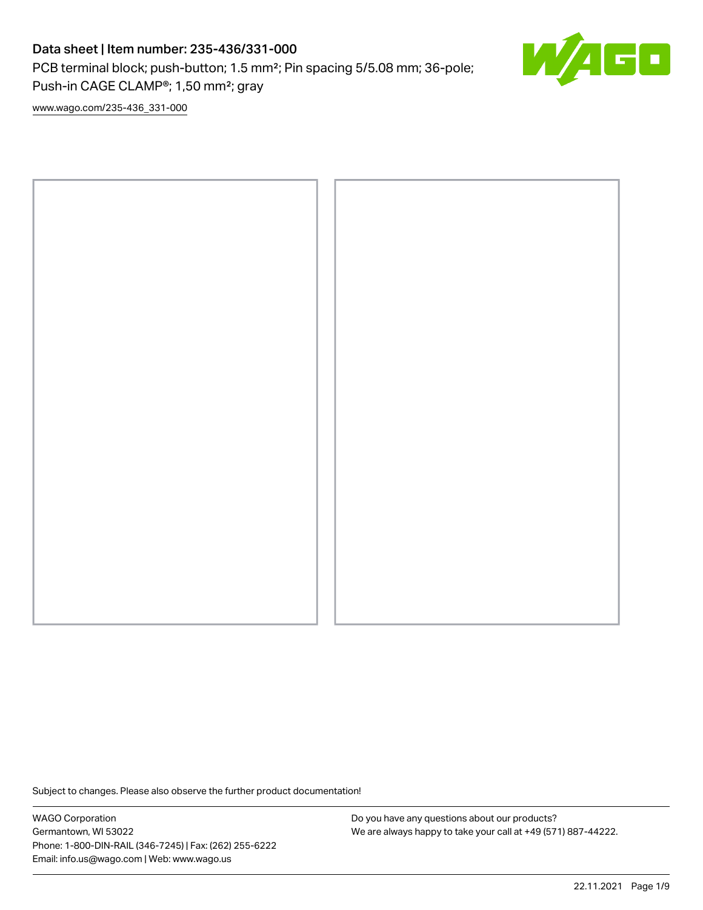# Data sheet | Item number: 235-436/331-000

PCB terminal block; push-button; 1.5 mm²; Pin spacing 5/5.08 mm; 36-pole; Push-in CAGE CLAMP®; 1,50 mm²; gray



[www.wago.com/235-436\\_331-000](http://www.wago.com/235-436_331-000)



Subject to changes. Please also observe the further product documentation!

WAGO Corporation Germantown, WI 53022 Phone: 1-800-DIN-RAIL (346-7245) | Fax: (262) 255-6222 Email: info.us@wago.com | Web: www.wago.us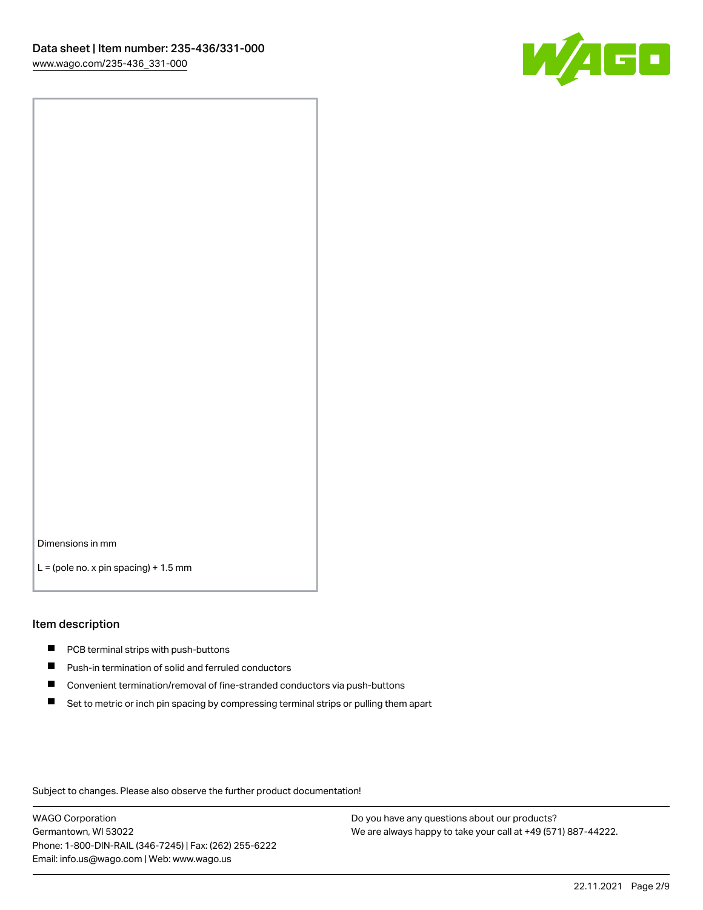

Dimensions in mm

 $L =$  (pole no. x pin spacing) + 1.5 mm

#### Item description

- **PCB terminal strips with push-buttons**
- **Push-in termination of solid and ferruled conductors**
- $\blacksquare$ Convenient termination/removal of fine-stranded conductors via push-buttons
- Set to metric or inch pin spacing by compressing terminal strips or pulling them apart

Subject to changes. Please also observe the further product documentation!

WAGO Corporation Germantown, WI 53022 Phone: 1-800-DIN-RAIL (346-7245) | Fax: (262) 255-6222 Email: info.us@wago.com | Web: www.wago.us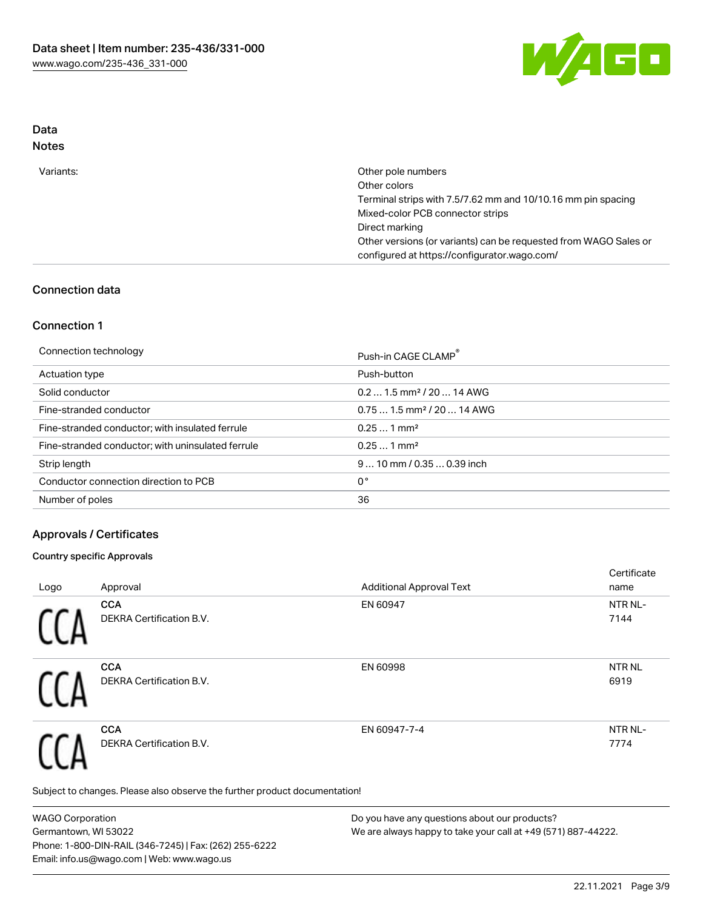

# Data

| Variants: | Other pole numbers                                               |
|-----------|------------------------------------------------------------------|
|           | Other colors                                                     |
|           | Terminal strips with 7.5/7.62 mm and 10/10.16 mm pin spacing     |
|           | Mixed-color PCB connector strips                                 |
|           | Direct marking                                                   |
|           | Other versions (or variants) can be requested from WAGO Sales or |
|           | configured at https://configurator.wago.com/                     |
|           |                                                                  |

## Connection data

### Connection 1

Connection technology **Push-in CAGE CLAMP<sup>®</sup>** 

|                                                   | Push-in CAGE CLAMP                     |
|---------------------------------------------------|----------------------------------------|
| Actuation type                                    | Push-button                            |
| Solid conductor                                   | $0.21.5$ mm <sup>2</sup> / 20  14 AWG  |
| Fine-stranded conductor                           | $0.751.5$ mm <sup>2</sup> / 20  14 AWG |
| Fine-stranded conductor; with insulated ferrule   | $0.251$ mm <sup>2</sup>                |
| Fine-stranded conductor; with uninsulated ferrule | $0.251$ mm <sup>2</sup>                |
| Strip length                                      | $910$ mm / 0.35  0.39 inch             |
| Conductor connection direction to PCB             | 0°                                     |
| Number of poles                                   | 36                                     |
|                                                   |                                        |

# Approvals / Certificates

#### Country specific Approvals

| Logo | Approval                               | <b>Additional Approval Text</b> | Certificate<br>name   |
|------|----------------------------------------|---------------------------------|-----------------------|
|      | <b>CCA</b><br>DEKRA Certification B.V. | EN 60947                        | NTR NL-<br>7144       |
|      | <b>CCA</b><br>DEKRA Certification B.V. | EN 60998                        | <b>NTR NL</b><br>6919 |
|      | <b>CCA</b><br>DEKRA Certification B.V. | EN 60947-7-4                    | NTR NL-<br>7774       |

Subject to changes. Please also observe the further product documentation!

WAGO Corporation Germantown, WI 53022 Phone: 1-800-DIN-RAIL (346-7245) | Fax: (262) 255-6222 Email: info.us@wago.com | Web: www.wago.us Do you have any questions about our products? We are always happy to take your call at +49 (571) 887-44222.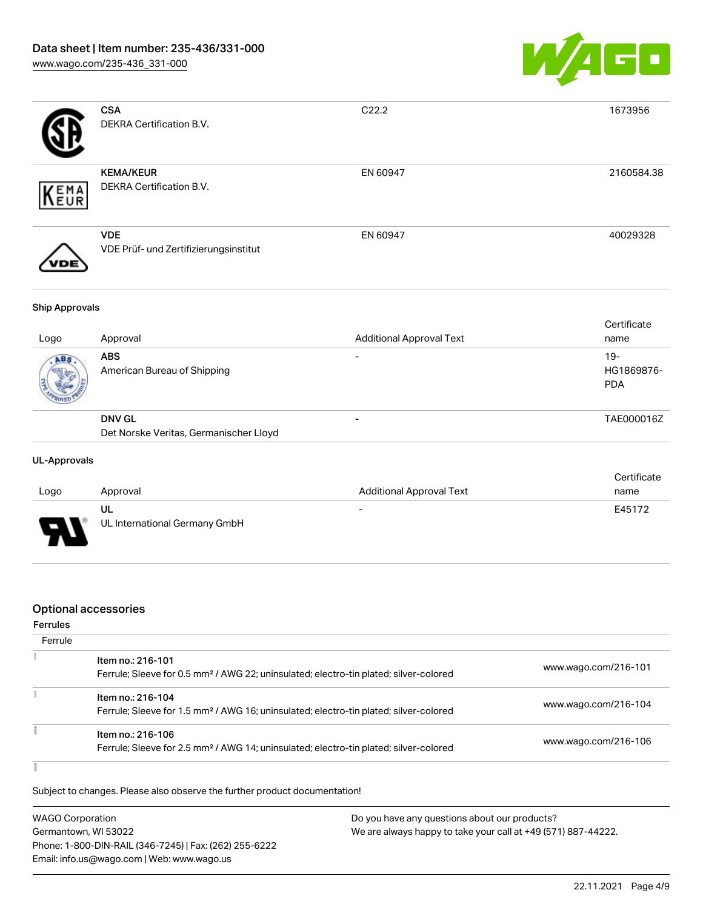

|     | <b>CSA</b><br><b>DEKRA Certification B.V.</b>       | C <sub>22.2</sub> | 1673956    |
|-----|-----------------------------------------------------|-------------------|------------|
| EMA | <b>KEMA/KEUR</b><br>DEKRA Certification B.V.        | EN 60947          | 2160584.38 |
|     | <b>VDE</b><br>VDE Prüf- und Zertifizierungsinstitut | EN 60947          | 40029328   |

#### Ship Approvals

| Logo | Approval                                                | <b>Additional Approval Text</b> | Certificate<br>name                |
|------|---------------------------------------------------------|---------------------------------|------------------------------------|
| ABS  | <b>ABS</b><br>American Bureau of Shipping               | $\overline{\phantom{0}}$        | $19 -$<br>HG1869876-<br><b>PDA</b> |
|      | <b>DNV GL</b><br>Det Norske Veritas, Germanischer Lloyd | $\overline{\phantom{0}}$        | TAE000016Z                         |

#### UL-Approvals

|                               |                               |                          | Certificate |  |
|-------------------------------|-------------------------------|--------------------------|-------------|--|
| Logo                          | Approval                      | Additional Approval Text | name        |  |
|                               | UL                            | $\overline{\phantom{a}}$ | E45172      |  |
| Б<br>$\overline{\phantom{a}}$ | UL International Germany GmbH |                          |             |  |

## Optional accessories

#### Ferrules

| Ferrule |                                                                                                                        |                      |
|---------|------------------------------------------------------------------------------------------------------------------------|----------------------|
|         | Item no.: 216-101<br>Ferrule; Sleeve for 0.5 mm <sup>2</sup> / AWG 22; uninsulated; electro-tin plated; silver-colored | www.wago.com/216-101 |
|         | Item no.: 216-104<br>Ferrule; Sleeve for 1.5 mm <sup>2</sup> / AWG 16; uninsulated; electro-tin plated; silver-colored | www.wago.com/216-104 |
|         | Item no.: 216-106<br>Ferrule; Sleeve for 2.5 mm <sup>2</sup> / AWG 14; uninsulated; electro-tin plated; silver-colored | www.wago.com/216-106 |

#### Ĭ

Subject to changes. Please also observe the further product documentation!

| <b>WAGO Corporation</b>                                | Do you have any questions about our products?                 |
|--------------------------------------------------------|---------------------------------------------------------------|
| Germantown, WI 53022                                   | We are always happy to take your call at +49 (571) 887-44222. |
| Phone: 1-800-DIN-RAIL (346-7245)   Fax: (262) 255-6222 |                                                               |
| Email: info.us@wago.com   Web: www.wago.us             |                                                               |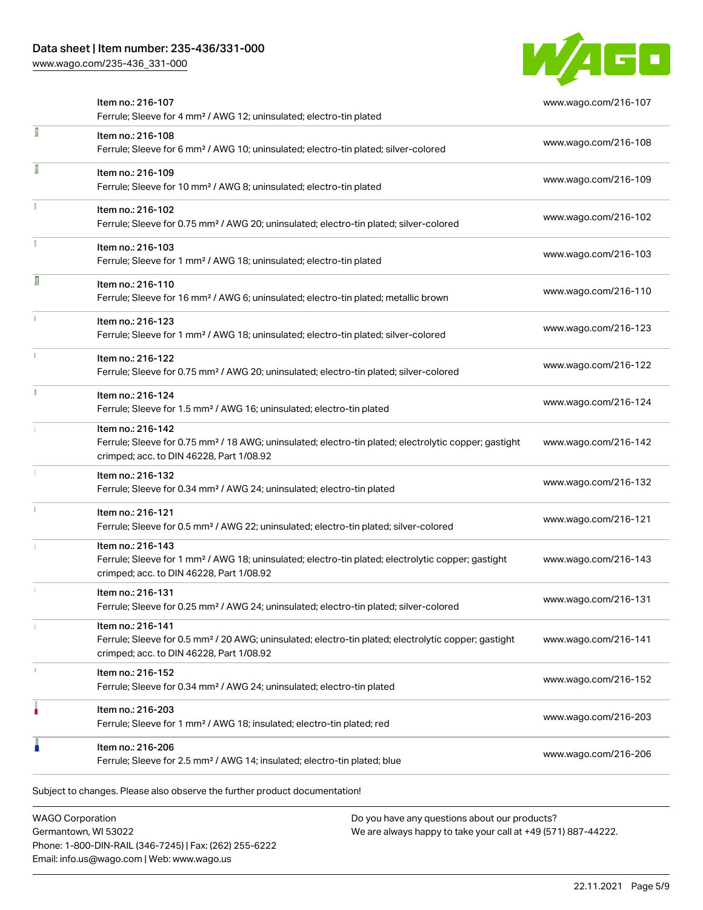## Data sheet | Item number: 235-436/331-000

[www.wago.com/235-436\\_331-000](http://www.wago.com/235-436_331-000)



|   | Item no.: 216-107<br>Ferrule; Sleeve for 4 mm <sup>2</sup> / AWG 12; uninsulated; electro-tin plated                                                                               | www.wago.com/216-107 |
|---|------------------------------------------------------------------------------------------------------------------------------------------------------------------------------------|----------------------|
| ĺ | Item no.: 216-108<br>Ferrule; Sleeve for 6 mm <sup>2</sup> / AWG 10; uninsulated; electro-tin plated; silver-colored                                                               | www.wago.com/216-108 |
| ū | Item no.: 216-109<br>Ferrule; Sleeve for 10 mm <sup>2</sup> / AWG 8; uninsulated; electro-tin plated                                                                               | www.wago.com/216-109 |
|   | Item no.: 216-102<br>Ferrule; Sleeve for 0.75 mm <sup>2</sup> / AWG 20; uninsulated; electro-tin plated; silver-colored                                                            | www.wago.com/216-102 |
|   | Item no.: 216-103<br>Ferrule; Sleeve for 1 mm <sup>2</sup> / AWG 18; uninsulated; electro-tin plated                                                                               | www.wago.com/216-103 |
| n | Item no.: 216-110<br>Ferrule; Sleeve for 16 mm <sup>2</sup> / AWG 6; uninsulated; electro-tin plated; metallic brown                                                               | www.wago.com/216-110 |
|   | Item no.: 216-123<br>Ferrule; Sleeve for 1 mm <sup>2</sup> / AWG 18; uninsulated; electro-tin plated; silver-colored                                                               | www.wago.com/216-123 |
|   | Item no.: 216-122<br>Ferrule; Sleeve for 0.75 mm <sup>2</sup> / AWG 20; uninsulated; electro-tin plated; silver-colored                                                            | www.wago.com/216-122 |
|   | Item no.: 216-124<br>Ferrule; Sleeve for 1.5 mm <sup>2</sup> / AWG 16; uninsulated; electro-tin plated                                                                             | www.wago.com/216-124 |
|   | Item no.: 216-142<br>Ferrule; Sleeve for 0.75 mm <sup>2</sup> / 18 AWG; uninsulated; electro-tin plated; electrolytic copper; gastight<br>crimped; acc. to DIN 46228, Part 1/08.92 | www.wago.com/216-142 |
|   | Item no.: 216-132<br>Ferrule; Sleeve for 0.34 mm <sup>2</sup> / AWG 24; uninsulated; electro-tin plated                                                                            | www.wago.com/216-132 |
|   | Item no.: 216-121<br>Ferrule; Sleeve for 0.5 mm <sup>2</sup> / AWG 22; uninsulated; electro-tin plated; silver-colored                                                             | www.wago.com/216-121 |
|   | Item no.: 216-143<br>Ferrule; Sleeve for 1 mm <sup>2</sup> / AWG 18; uninsulated; electro-tin plated; electrolytic copper; gastight<br>crimped; acc. to DIN 46228, Part 1/08.92    | www.wago.com/216-143 |
|   | Item no.: 216-131<br>Ferrule; Sleeve for 0.25 mm <sup>2</sup> / AWG 24; uninsulated; electro-tin plated; silver-colored                                                            | www.wago.com/216-131 |
|   | Item no.: 216-141<br>Ferrule; Sleeve for 0.5 mm <sup>2</sup> / 20 AWG; uninsulated; electro-tin plated; electrolytic copper; gastight<br>crimped; acc. to DIN 46228, Part 1/08.92  | www.wago.com/216-141 |
|   | Item no.: 216-152<br>Ferrule; Sleeve for 0.34 mm <sup>2</sup> / AWG 24; uninsulated; electro-tin plated                                                                            | www.wago.com/216-152 |
|   | Item no.: 216-203<br>Ferrule; Sleeve for 1 mm <sup>2</sup> / AWG 18; insulated; electro-tin plated; red                                                                            | www.wago.com/216-203 |
|   | Item no.: 216-206<br>Ferrule; Sleeve for 2.5 mm <sup>2</sup> / AWG 14; insulated; electro-tin plated; blue                                                                         | www.wago.com/216-206 |

Subject to changes. Please also observe the further product documentation!

WAGO Corporation Germantown, WI 53022 Phone: 1-800-DIN-RAIL (346-7245) | Fax: (262) 255-6222 Email: info.us@wago.com | Web: www.wago.us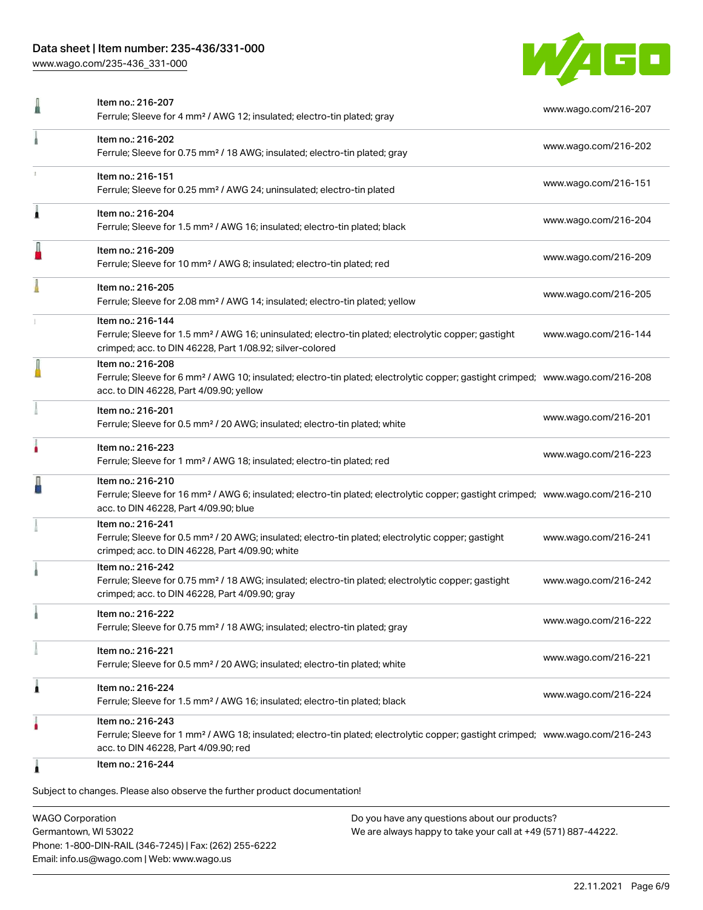## Data sheet | Item number: 235-436/331-000

[www.wago.com/235-436\\_331-000](http://www.wago.com/235-436_331-000)



|   | Item no.: 216-207<br>Ferrule; Sleeve for 4 mm <sup>2</sup> / AWG 12; insulated; electro-tin plated; gray                                                                                                   | www.wago.com/216-207 |
|---|------------------------------------------------------------------------------------------------------------------------------------------------------------------------------------------------------------|----------------------|
|   | Item no.: 216-202<br>Ferrule; Sleeve for 0.75 mm <sup>2</sup> / 18 AWG; insulated; electro-tin plated; gray                                                                                                | www.wago.com/216-202 |
|   | Item no.: 216-151<br>Ferrule; Sleeve for 0.25 mm <sup>2</sup> / AWG 24; uninsulated; electro-tin plated                                                                                                    | www.wago.com/216-151 |
| À | Item no.: 216-204<br>Ferrule; Sleeve for 1.5 mm <sup>2</sup> / AWG 16; insulated; electro-tin plated; black                                                                                                | www.wago.com/216-204 |
|   | Item no.: 216-209<br>Ferrule; Sleeve for 10 mm <sup>2</sup> / AWG 8; insulated; electro-tin plated; red                                                                                                    | www.wago.com/216-209 |
|   | Item no.: 216-205<br>Ferrule; Sleeve for 2.08 mm <sup>2</sup> / AWG 14; insulated; electro-tin plated; yellow                                                                                              | www.wago.com/216-205 |
|   | Item no.: 216-144<br>Ferrule; Sleeve for 1.5 mm <sup>2</sup> / AWG 16; uninsulated; electro-tin plated; electrolytic copper; gastight<br>crimped; acc. to DIN 46228, Part 1/08.92; silver-colored          | www.wago.com/216-144 |
|   | Item no.: 216-208<br>Ferrule; Sleeve for 6 mm <sup>2</sup> / AWG 10; insulated; electro-tin plated; electrolytic copper; gastight crimped; www.wago.com/216-208<br>acc. to DIN 46228, Part 4/09.90; yellow |                      |
|   | Item no.: 216-201<br>Ferrule; Sleeve for 0.5 mm <sup>2</sup> / 20 AWG; insulated; electro-tin plated; white                                                                                                | www.wago.com/216-201 |
|   | Item no.: 216-223<br>Ferrule; Sleeve for 1 mm <sup>2</sup> / AWG 18; insulated; electro-tin plated; red                                                                                                    | www.wago.com/216-223 |
|   | Item no.: 216-210<br>Ferrule; Sleeve for 16 mm <sup>2</sup> / AWG 6; insulated; electro-tin plated; electrolytic copper; gastight crimped; www.wago.com/216-210<br>acc. to DIN 46228, Part 4/09.90; blue   |                      |
|   | Item no.: 216-241<br>Ferrule; Sleeve for 0.5 mm <sup>2</sup> / 20 AWG; insulated; electro-tin plated; electrolytic copper; gastight<br>crimped; acc. to DIN 46228, Part 4/09.90; white                     | www.wago.com/216-241 |
|   | Item no.: 216-242<br>Ferrule; Sleeve for 0.75 mm <sup>2</sup> / 18 AWG; insulated; electro-tin plated; electrolytic copper; gastight<br>crimped; acc. to DIN 46228, Part 4/09.90; gray                     | www.wago.com/216-242 |
|   | Item no.: 216-222<br>Ferrule; Sleeve for 0.75 mm <sup>2</sup> / 18 AWG; insulated; electro-tin plated; gray                                                                                                | www.wago.com/216-222 |
|   | Item no.: 216-221<br>Ferrule; Sleeve for 0.5 mm <sup>2</sup> / 20 AWG; insulated; electro-tin plated; white                                                                                                | www.wago.com/216-221 |
| Â | Item no.: 216-224<br>Ferrule; Sleeve for 1.5 mm <sup>2</sup> / AWG 16; insulated; electro-tin plated; black                                                                                                | www.wago.com/216-224 |
|   | Item no.: 216-243<br>Ferrule; Sleeve for 1 mm <sup>2</sup> / AWG 18; insulated; electro-tin plated; electrolytic copper; gastight crimped; www.wago.com/216-243<br>acc. to DIN 46228, Part 4/09.90; red    |                      |
| 1 | Item no.: 216-244                                                                                                                                                                                          |                      |

WAGO Corporation Germantown, WI 53022 Phone: 1-800-DIN-RAIL (346-7245) | Fax: (262) 255-6222 Email: info.us@wago.com | Web: www.wago.us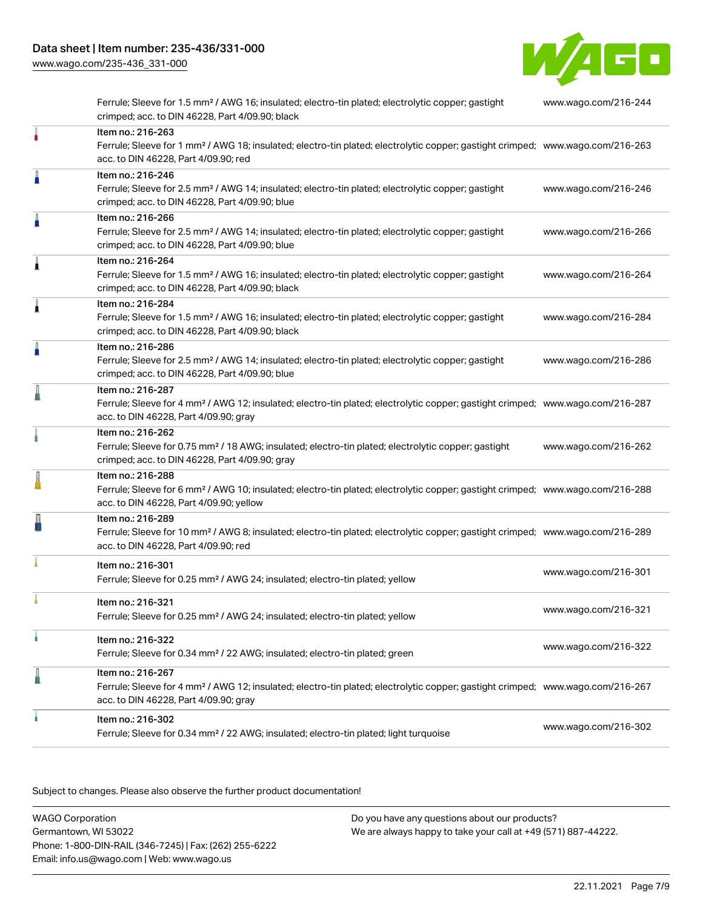[www.wago.com/235-436\\_331-000](http://www.wago.com/235-436_331-000)



Ferrule; Sleeve for 1.5 mm² / AWG 16; insulated; electro-tin plated; electrolytic copper; gastight crimped; acc. to DIN 46228, Part 4/09.90; black [www.wago.com/216-244](http://www.wago.com/216-244) Item no.: 216-263 Ferrule; Sleeve for 1 mm² / AWG 18; insulated; electro-tin plated; electrolytic copper; gastight crimped; [www.wago.com/216-263](http://www.wago.com/216-263) acc. to DIN 46228, Part 4/09.90; red Item no.: 216-246 Ferrule; Sleeve for 2.5 mm² / AWG 14; insulated; electro-tin plated; electrolytic copper; gastight crimped; acc. to DIN 46228, Part 4/09.90; blue [www.wago.com/216-246](http://www.wago.com/216-246) Item no.: 216-266 Ferrule; Sleeve for 2.5 mm² / AWG 14; insulated; electro-tin plated; electrolytic copper; gastight crimped; acc. to DIN 46228, Part 4/09.90; blue [www.wago.com/216-266](http://www.wago.com/216-266) Item no.: 216-264 Ferrule; Sleeve for 1.5 mm² / AWG 16; insulated; electro-tin plated; electrolytic copper; gastight crimped; acc. to DIN 46228, Part 4/09.90; black [www.wago.com/216-264](http://www.wago.com/216-264) Item no.: 216-284 Ferrule; Sleeve for 1.5 mm² / AWG 16; insulated; electro-tin plated; electrolytic copper; gastight crimped; acc. to DIN 46228, Part 4/09.90; black [www.wago.com/216-284](http://www.wago.com/216-284) Item no.: 216-286 Ferrule; Sleeve for 2.5 mm² / AWG 14; insulated; electro-tin plated; electrolytic copper; gastight crimped; acc. to DIN 46228, Part 4/09.90; blue [www.wago.com/216-286](http://www.wago.com/216-286) Item no.: 216-287 Ferrule; Sleeve for 4 mm² / AWG 12; insulated; electro-tin plated; electrolytic copper; gastight crimped; [www.wago.com/216-287](http://www.wago.com/216-287) acc. to DIN 46228, Part 4/09.90; gray Item no.: 216-262 Ferrule; Sleeve for 0.75 mm² / 18 AWG; insulated; electro-tin plated; electrolytic copper; gastight crimped; acc. to DIN 46228, Part 4/09.90; gray [www.wago.com/216-262](http://www.wago.com/216-262) Item no.: 216-288 Ferrule; Sleeve for 6 mm² / AWG 10; insulated; electro-tin plated; electrolytic copper; gastight crimped; [www.wago.com/216-288](http://www.wago.com/216-288) acc. to DIN 46228, Part 4/09.90; yellow Item no.: 216-289 Ferrule; Sleeve for 10 mm² / AWG 8; insulated; electro-tin plated; electrolytic copper; gastight crimped; [www.wago.com/216-289](http://www.wago.com/216-289) acc. to DIN 46228, Part 4/09.90; red Item no.: 216-301 Ferrule; Sleeve for 0.25 mm² / AWG 24; insulated; electro-tin plated; yellow [www.wago.com/216-301](http://www.wago.com/216-301) Item no.: 216-321 Ferrule; Sleeve for 0.25 mm² / AWG 24; insulated; electro-tin plated; yellow [www.wago.com/216-321](http://www.wago.com/216-321) Item no.: 216-322 Ferrule; Sleeve for 0.34 mm² / 22 AWG; insulated; electro-tin plated; green [www.wago.com/216-322](http://www.wago.com/216-322) Item no.: 216-267 Ferrule; Sleeve for 4 mm² / AWG 12; insulated; electro-tin plated; electrolytic copper; gastight crimped; [www.wago.com/216-267](http://www.wago.com/216-267) acc. to DIN 46228, Part 4/09.90; gray Item no.: 216-302 Ferrule; Sleeve for 0.34 mm² / 22 AWG; insulated; electro-tin plated; light turquoise [www.wago.com/216-302](http://www.wago.com/216-302)

.<br>Subject to changes. Please also observe the further product documentation!

WAGO Corporation Germantown, WI 53022 Phone: 1-800-DIN-RAIL (346-7245) | Fax: (262) 255-6222 Email: info.us@wago.com | Web: www.wago.us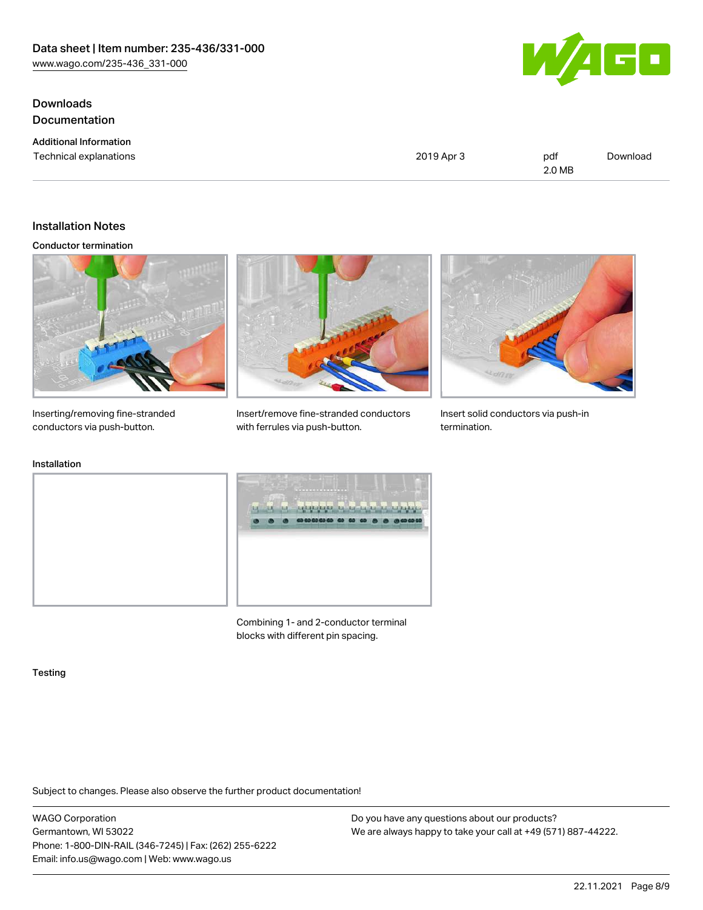Downloads Documentation

Additional Information Technical explanations and political explanations and political explanations and political explanations of political explanations of political explanations of political explanations of political explanations of political e 2.0 MB [Download](https://www.wago.com/global/d/1435602)

# Installation Notes

Conductor termination



Inserting/removing fine-stranded conductors via push-button.



Insert/remove fine-stranded conductors with ferrules via push-button.

talentesista ta ta ta ta

as as applied.



Insert solid conductors via push-in termination.



Combining 1- and 2-conductor terminal blocks with different pin spacing.

#### Testing

Subject to changes. Please also observe the further product documentation!

WAGO Corporation Germantown, WI 53022 Phone: 1-800-DIN-RAIL (346-7245) | Fax: (262) 255-6222 Email: info.us@wago.com | Web: www.wago.us